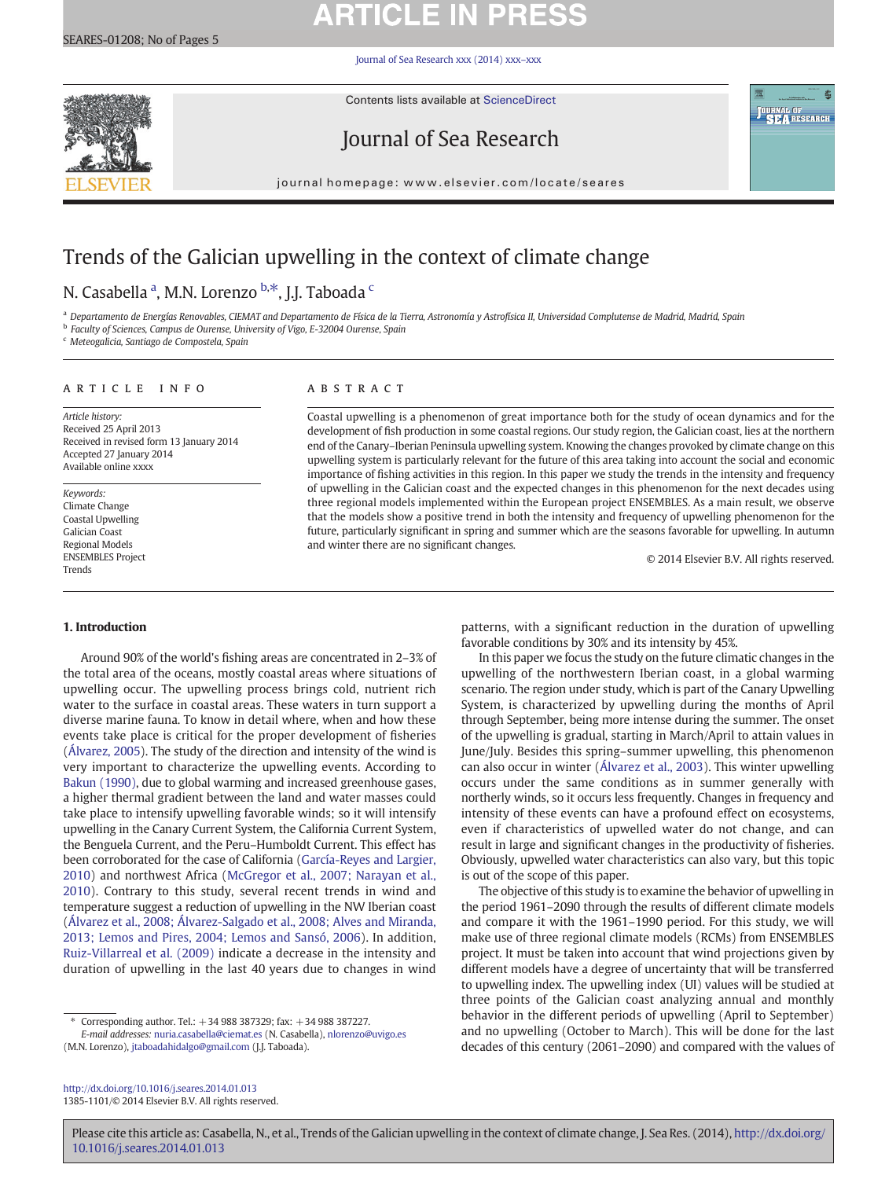# **ARTICLE IN PRESS**

[Journal of Sea Research xxx \(2014\) xxx](http://dx.doi.org/10.1016/j.seares.2014.01.013)–xxx



Contents lists available at ScienceDirect

# Journal of Sea Research



journal homepage: www.elsevier.com/locate/seares

# Trends of the Galician upwelling in the context of climate change

# N. Casabella <sup>a</sup>, M.N. Lorenzo <sup>b,\*</sup>, J.J. Taboada <sup>c</sup>

a Departamento de Energías Renovables, CIEMAT and Departamento de Física de la Tierra, Astronomía y Astrofísica II, Universidad Complutense de Madrid, Madrid, Spain

<sup>b</sup> Faculty of Sciences, Campus de Ourense, University of Vigo, E-32004 Ourense, Spain

<sup>c</sup> Meteogalicia, Santiago de Compostela, Spain

# article info abstract

Article history: Received 25 April 2013 Received in revised form 13 January 2014 Accepted 27 January 2014 Available online xxxx

Keywords: Climate Change Coastal Upwelling Galician Coast Regional Models ENSEMBLES Project Trends

Coastal upwelling is a phenomenon of great importance both for the study of ocean dynamics and for the development of fish production in some coastal regions. Our study region, the Galician coast, lies at the northern end of the Canary–Iberian Peninsula upwelling system. Knowing the changes provoked by climate change on this upwelling system is particularly relevant for the future of this area taking into account the social and economic importance of fishing activities in this region. In this paper we study the trends in the intensity and frequency of upwelling in the Galician coast and the expected changes in this phenomenon for the next decades using three regional models implemented within the European project ENSEMBLES. As a main result, we observe that the models show a positive trend in both the intensity and frequency of upwelling phenomenon for the future, particularly significant in spring and summer which are the seasons favorable for upwelling. In autumn and winter there are no significant changes.

© 2014 Elsevier B.V. All rights reserved.

# 1. Introduction

Around 90% of the world's fishing areas are concentrated in 2–3% of the total area of the oceans, mostly coastal areas where situations of upwelling occur. The upwelling process brings cold, nutrient rich water to the surface in coastal areas. These waters in turn support a diverse marine fauna. To know in detail where, when and how these events take place is critical for the proper development of fisheries [\(Álvarez, 2005](#page-4-0)). The study of the direction and intensity of the wind is very important to characterize the upwelling events. According to [Bakun \(1990\),](#page-4-0) due to global warming and increased greenhouse gases, a higher thermal gradient between the land and water masses could take place to intensify upwelling favorable winds; so it will intensify upwelling in the Canary Current System, the California Current System, the Benguela Current, and the Peru–Humboldt Current. This effect has been corroborated for the case of California [\(García-Reyes and Largier,](#page-4-0) [2010\)](#page-4-0) and northwest Africa ([McGregor et al., 2007; Narayan et al.,](#page-4-0) [2010\)](#page-4-0). Contrary to this study, several recent trends in wind and temperature suggest a reduction of upwelling in the NW Iberian coast [\(Álvarez et al., 2008; Álvarez-Salgado et al., 2008; Alves and Miranda,](#page-4-0) [2013; Lemos and Pires, 2004; Lemos and Sansó, 2006\)](#page-4-0). In addition, [Ruiz-Villarreal et al. \(2009\)](#page-4-0) indicate a decrease in the intensity and duration of upwelling in the last 40 years due to changes in wind

⁎ Corresponding author. Tel.: +34 988 387329; fax: +34 988 387227.

E-mail addresses: [nuria.casabella@ciemat.es](mailto:nuria.casabella@ciemat.es) (N. Casabella), [nlorenzo@uvigo.es](mailto:nlorenzo@uvigo.es)

(M.N. Lorenzo), [jtaboadahidalgo@gmail.com](mailto:jtaboadahidalgo@gmail.com) (J.J. Taboada).

<http://dx.doi.org/10.1016/j.seares.2014.01.013> 1385-1101/© 2014 Elsevier B.V. All rights reserved.

patterns, with a significant reduction in the duration of upwelling favorable conditions by 30% and its intensity by 45%.

In this paper we focus the study on the future climatic changes in the upwelling of the northwestern Iberian coast, in a global warming scenario. The region under study, which is part of the Canary Upwelling System, is characterized by upwelling during the months of April through September, being more intense during the summer. The onset of the upwelling is gradual, starting in March/April to attain values in June/July. Besides this spring–summer upwelling, this phenomenon can also occur in winter ([Álvarez et al., 2003](#page-4-0)). This winter upwelling occurs under the same conditions as in summer generally with northerly winds, so it occurs less frequently. Changes in frequency and intensity of these events can have a profound effect on ecosystems, even if characteristics of upwelled water do not change, and can result in large and significant changes in the productivity of fisheries. Obviously, upwelled water characteristics can also vary, but this topic is out of the scope of this paper.

The objective of this study is to examine the behavior of upwelling in the period 1961–2090 through the results of different climate models and compare it with the 1961–1990 period. For this study, we will make use of three regional climate models (RCMs) from ENSEMBLES project. It must be taken into account that wind projections given by different models have a degree of uncertainty that will be transferred to upwelling index. The upwelling index (UI) values will be studied at three points of the Galician coast analyzing annual and monthly behavior in the different periods of upwelling (April to September) and no upwelling (October to March). This will be done for the last decades of this century (2061–2090) and compared with the values of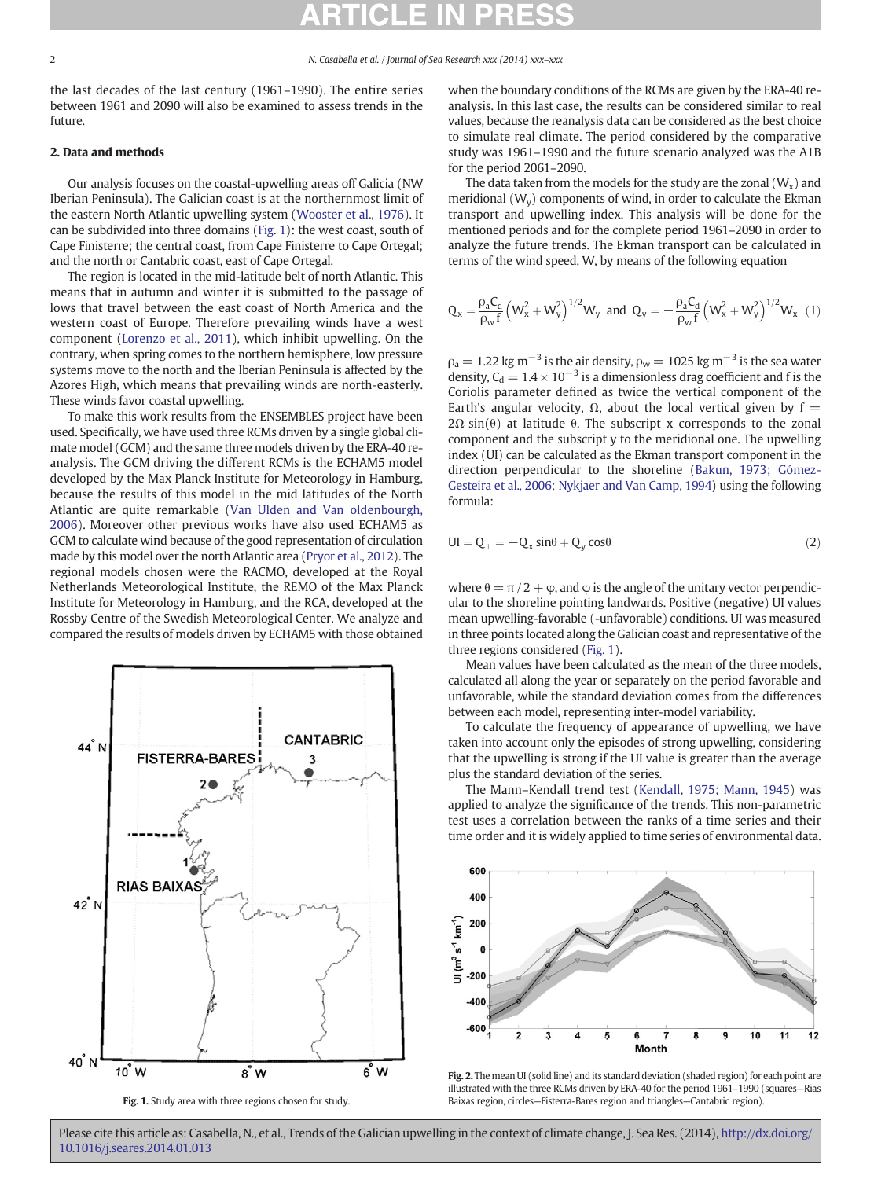<span id="page-1-0"></span>the last decades of the last century (1961–1990). The entire series between 1961 and 2090 will also be examined to assess trends in the future.

# 2. Data and methods

Our analysis focuses on the coastal-upwelling areas off Galicia (NW Iberian Peninsula). The Galician coast is at the northernmost limit of the eastern North Atlantic upwelling system ([Wooster et al., 1976](#page-4-0)). It can be subdivided into three domains (Fig. 1): the west coast, south of Cape Finisterre; the central coast, from Cape Finisterre to Cape Ortegal; and the north or Cantabric coast, east of Cape Ortegal.

The region is located in the mid-latitude belt of north Atlantic. This means that in autumn and winter it is submitted to the passage of lows that travel between the east coast of North America and the western coast of Europe. Therefore prevailing winds have a west component [\(Lorenzo et al., 2011](#page-4-0)), which inhibit upwelling. On the contrary, when spring comes to the northern hemisphere, low pressure systems move to the north and the Iberian Peninsula is affected by the Azores High, which means that prevailing winds are north-easterly. These winds favor coastal upwelling.

To make this work results from the ENSEMBLES project have been used. Specifically, we have used three RCMs driven by a single global climate model (GCM) and the same three models driven by the ERA-40 reanalysis. The GCM driving the different RCMs is the ECHAM5 model developed by the Max Planck Institute for Meteorology in Hamburg, because the results of this model in the mid latitudes of the North Atlantic are quite remarkable [\(Van Ulden and Van oldenbourgh,](#page-4-0) [2006](#page-4-0)). Moreover other previous works have also used ECHAM5 as GCM to calculate wind because of the good representation of circulation made by this model over the north Atlantic area [\(Pryor et al., 2012\)](#page-4-0). The regional models chosen were the RACMO, developed at the Royal Netherlands Meteorological Institute, the REMO of the Max Planck Institute for Meteorology in Hamburg, and the RCA, developed at the Rossby Centre of the Swedish Meteorological Center. We analyze and compared the results of models driven by ECHAM5 with those obtained



Fig. 1. Study area with three regions chosen for study.

when the boundary conditions of the RCMs are given by the ERA-40 reanalysis. In this last case, the results can be considered similar to real values, because the reanalysis data can be considered as the best choice to simulate real climate. The period considered by the comparative study was 1961–1990 and the future scenario analyzed was the A1B for the period 2061–2090.

The data taken from the models for the study are the zonal  $(W_x)$  and meridional  $(W_v)$  components of wind, in order to calculate the Ekman transport and upwelling index. This analysis will be done for the mentioned periods and for the complete period 1961–2090 in order to analyze the future trends. The Ekman transport can be calculated in terms of the wind speed, W, by means of the following equation

$$
Q_x = \frac{\rho_a C_d}{\rho_w f} \left( W_x^2 + W_y^2 \right)^{1/2} W_y \text{ and } Q_y = - \frac{\rho_a C_d}{\rho_w f} \left( W_x^2 + W_y^2 \right)^{1/2} W_x \tag{1}
$$

 $\rho_a = 1.22$  kg m<sup>-3</sup> is the air density,  $\rho_w = 1025$  kg m<sup>-3</sup> is the sea water density,  $C_d = 1.4 \times 10^{-3}$  is a dimensionless drag coefficient and f is the Coriolis parameter defined as twice the vertical component of the Earth's angular velocity,  $\Omega$ , about the local vertical given by f =  $2\Omega \sin(\theta)$  at latitude  $\theta$ . The subscript x corresponds to the zonal component and the subscript y to the meridional one. The upwelling index (UI) can be calculated as the Ekman transport component in the direction perpendicular to the shoreline [\(Bakun, 1973; Gómez-](#page-4-0)[Gesteira et al., 2006; Nykjaer and Van Camp, 1994\)](#page-4-0) using the following formula:

$$
UI = Q_{\perp} = -Q_x \sin\theta + Q_y \cos\theta \tag{2}
$$

where  $\theta = \pi/2 + \varphi$ , and  $\varphi$  is the angle of the unitary vector perpendicular to the shoreline pointing landwards. Positive (negative) UI values mean upwelling-favorable (-unfavorable) conditions. UI was measured in three points located along the Galician coast and representative of the three regions considered (Fig. 1).

Mean values have been calculated as the mean of the three models, calculated all along the year or separately on the period favorable and unfavorable, while the standard deviation comes from the differences between each model, representing inter-model variability.

To calculate the frequency of appearance of upwelling, we have taken into account only the episodes of strong upwelling, considering that the upwelling is strong if the UI value is greater than the average plus the standard deviation of the series.

The Mann–Kendall trend test [\(Kendall, 1975; Mann, 1945\)](#page-4-0) was applied to analyze the significance of the trends. This non-parametric test uses a correlation between the ranks of a time series and their time order and it is widely applied to time series of environmental data.



Fig. 2. The mean UI (solid line) and its standard deviation (shaded region) for each point are illustrated with the three RCMs driven by ERA-40 for the period 1961–1990 (squares—Rias Baixas region, circles—Fisterra-Bares region and triangles—Cantabric region).

Please cite this article as: Casabella, N., et al., Trends of the Galician upwelling in the context of climate change, J. Sea Res. (2014), [http://dx.doi.org/](http://dx.doi.org/10.1016/j.seares.2014.01.013) [10.1016/j.seares.2014.01.013](http://dx.doi.org/10.1016/j.seares.2014.01.013)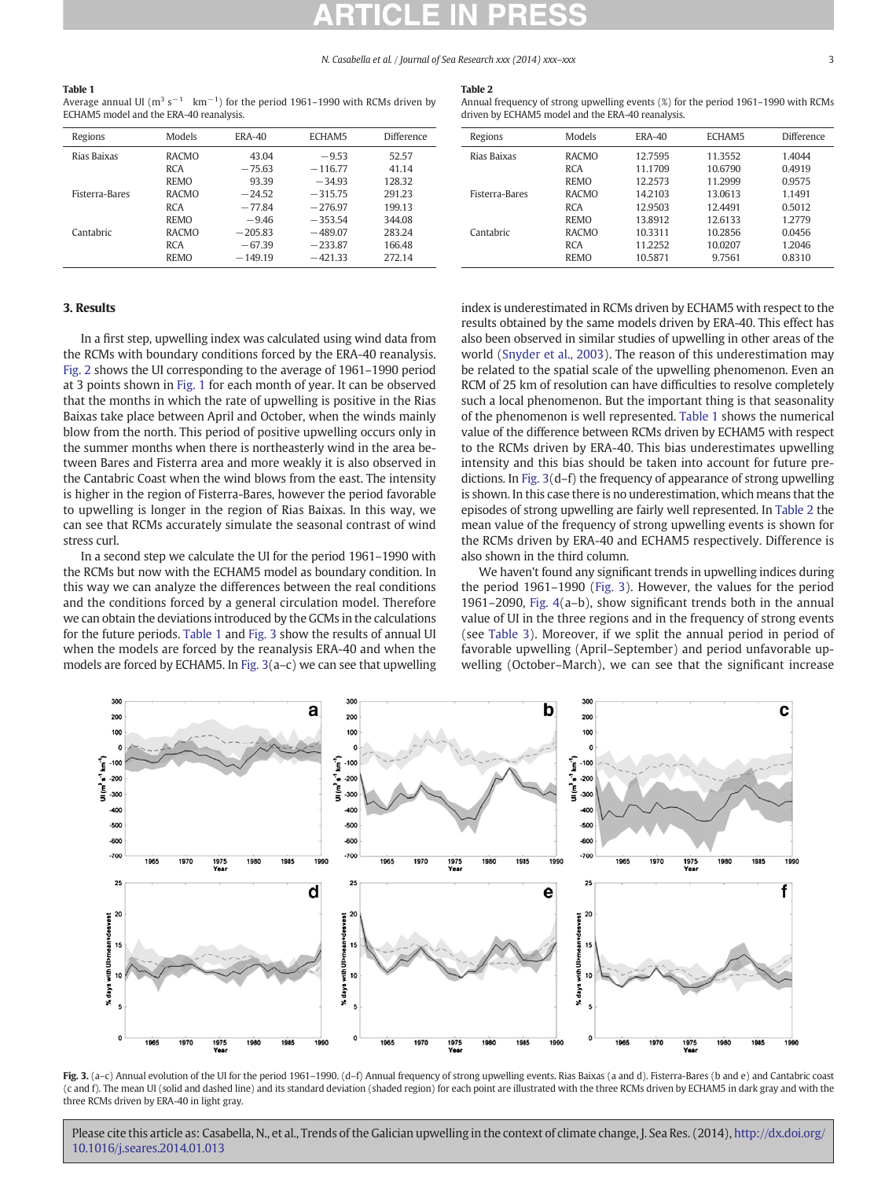## N. Casabella et al. / Journal of Sea Research xxx (2014) xxx–xxx 3

### <span id="page-2-0"></span>Table 1

Average annual UI ( $m^3 s^{-1}$  km<sup>-1</sup>) for the period 1961–1990 with RCMs driven by ECHAM5 model and the ERA-40 reanalysis.

# Table 2

Annual frequency of strong upwelling events (%) for the period 1961–1990 with RCMs

| Regions               | Models       | <b>ERA-40</b> | ECHAM5    | <b>Difference</b> |
|-----------------------|--------------|---------------|-----------|-------------------|
| Rias Baixas           | <b>RACMO</b> | 43.04         | $-9.53$   | 52.57             |
|                       | <b>RCA</b>   | $-75.63$      | $-116.77$ | 41.14             |
|                       | <b>REMO</b>  | 93.39         | $-34.93$  | 128.32            |
| <b>Fisterra-Bares</b> | <b>RACMO</b> | $-24.52$      | $-315.75$ | 291.23            |
|                       | <b>RCA</b>   | $-77.84$      | $-276.97$ | 199.13            |
|                       | <b>REMO</b>  | $-9.46$       | $-353.54$ | 344.08            |
| Cantabric             | <b>RACMO</b> | $-205.83$     | $-489.07$ | 283.24            |
|                       | <b>RCA</b>   | $-67.39$      | $-233.87$ | 166.48            |
|                       | <b>REMO</b>  | $-149.19$     | $-421.33$ | 272.14            |

| Regions               | Models       | <b>ERA-40</b> | ECHAM5  | <b>Difference</b> |
|-----------------------|--------------|---------------|---------|-------------------|
| Rias Baixas           | <b>RACMO</b> | 12.7595       | 11.3552 | 1.4044            |
|                       | <b>RCA</b>   | 11.1709       | 10.6790 | 0.4919            |
|                       | <b>REMO</b>  | 12.2573       | 11.2999 | 0.9575            |
| <b>Fisterra-Bares</b> | <b>RACMO</b> | 14.2103       | 13.0613 | 1.1491            |
|                       | <b>RCA</b>   | 12.9503       | 12.4491 | 0.5012            |
|                       | <b>REMO</b>  | 13.8912       | 12.6133 | 1.2779            |
| Cantabric             | <b>RACMO</b> | 10.3311       | 10.2856 | 0.0456            |
|                       | <b>RCA</b>   | 11.2252       | 10.0207 | 1.2046            |

REMO 10.5871 9.7561 0.8310

# 3. Results

In a first step, upwelling index was calculated using wind data from the RCMs with boundary conditions forced by the ERA-40 reanalysis. [Fig. 2](#page-1-0) shows the UI corresponding to the average of 1961–1990 period at 3 points shown in [Fig. 1](#page-1-0) for each month of year. It can be observed that the months in which the rate of upwelling is positive in the Rias Baixas take place between April and October, when the winds mainly blow from the north. This period of positive upwelling occurs only in the summer months when there is northeasterly wind in the area between Bares and Fisterra area and more weakly it is also observed in the Cantabric Coast when the wind blows from the east. The intensity is higher in the region of Fisterra-Bares, however the period favorable to upwelling is longer in the region of Rias Baixas. In this way, we can see that RCMs accurately simulate the seasonal contrast of wind stress curl.

In a second step we calculate the UI for the period 1961–1990 with the RCMs but now with the ECHAM5 model as boundary condition. In this way we can analyze the differences between the real conditions and the conditions forced by a general circulation model. Therefore we can obtain the deviations introduced by the GCMs in the calculations for the future periods. Table 1 and Fig. 3 show the results of annual UI when the models are forced by the reanalysis ERA-40 and when the models are forced by ECHAM5. In Fig. 3(a–c) we can see that upwelling index is underestimated in RCMs driven by ECHAM5 with respect to the results obtained by the same models driven by ERA-40. This effect has also been observed in similar studies of upwelling in other areas of the world [\(Snyder et al., 2003\)](#page-4-0). The reason of this underestimation may be related to the spatial scale of the upwelling phenomenon. Even an RCM of 25 km of resolution can have difficulties to resolve completely such a local phenomenon. But the important thing is that seasonality of the phenomenon is well represented. Table 1 shows the numerical value of the difference between RCMs driven by ECHAM5 with respect to the RCMs driven by ERA-40. This bias underestimates upwelling intensity and this bias should be taken into account for future predictions. In Fig. 3(d–f) the frequency of appearance of strong upwelling is shown. In this case there is no underestimation, which means that the episodes of strong upwelling are fairly well represented. In Table 2 the mean value of the frequency of strong upwelling events is shown for the RCMs driven by ERA-40 and ECHAM5 respectively. Difference is also shown in the third column.

We haven't found any significant trends in upwelling indices during the period 1961–1990 (Fig. 3). However, the values for the period 1961–2090, [Fig. 4\(](#page-3-0)a–b), show significant trends both in the annual value of UI in the three regions and in the frequency of strong events (see [Table 3](#page-3-0)). Moreover, if we split the annual period in period of favorable upwelling (April–September) and period unfavorable upwelling (October–March), we can see that the significant increase



Fig. 3. (a-c) Annual evolution of the UI for the period 1961–1990. (d-f) Annual frequency of strong upwelling events. Rias Baixas (a and d). Fisterra-Bares (b and e) and Cantabric coast (c and f). The mean UI (solid and dashed line) and its standard deviation (shaded region) for each point are illustrated with the three RCMs driven by ECHAM5 in dark gray and with the three RCMs driven by ERA-40 in light gray.

Please cite this article as: Casabella, N., et al., Trends of the Galician upwelling in the context of climate change, J. Sea Res. (2014), [http://dx.doi.org/](http://dx.doi.org/10.1016/j.seares.2014.01.013) [10.1016/j.seares.2014.01.013](http://dx.doi.org/10.1016/j.seares.2014.01.013)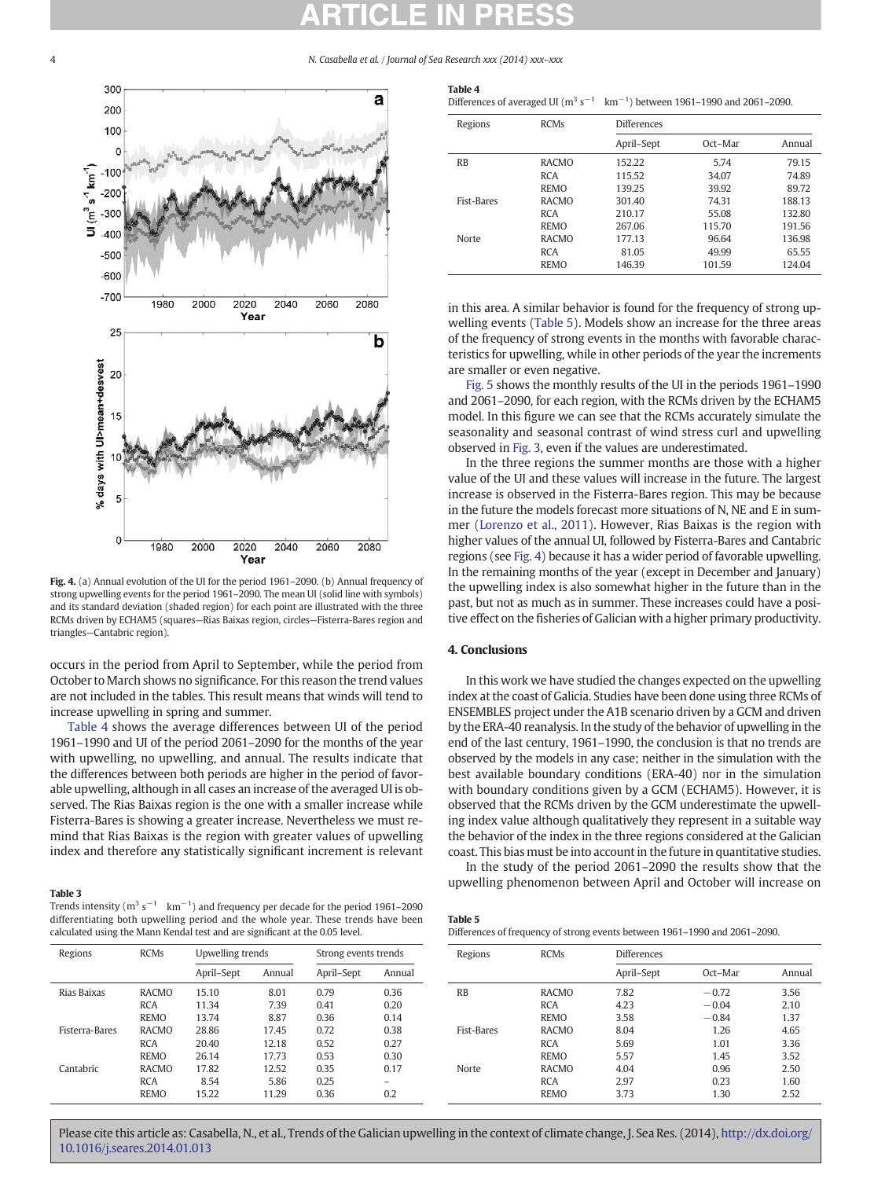4 N. Casabella et al. / Journal of Sea Research xxx (2014) xxx–xxx



Fig. 4. (a) Annual evolution of the UI for the period 1961–2090. (b) Annual frequency of strong upwelling events for the period 1961–2090. The mean UI (solid line with symbols) and its standard deviation (shaded region) for each point are illustrated with the three RCMs driven by ECHAM5 (squares—Rias Baixas region, circles—Fisterra-Bares region and triangles—Cantabric region).

occurs in the period from April to September, while the period from October to March shows no significance. For this reason the trend values are not included in the tables. This result means that winds will tend to increase upwelling in spring and summer.

Table 4 shows the average differences between UI of the period 1961–1990 and UI of the period 2061–2090 for the months of the year with upwelling, no upwelling, and annual. The results indicate that the differences between both periods are higher in the period of favorable upwelling, although in all cases an increase of the averaged UI is observed. The Rias Baixas region is the one with a smaller increase while Fisterra-Bares is showing a greater increase. Nevertheless we must remind that Rias Baixas is the region with greater values of upwelling index and therefore any statistically significant increment is relevant

## Table 3

Trends intensity ( $m^3$  s<sup>-1</sup> km<sup>-1</sup>) and frequency per decade for the period 1961–2090 differentiating both upwelling period and the whole year. These trends have been calculated using the Mann Kendal test and are significant at the 0.05 level.

| Table 4 |                                                                                               |
|---------|-----------------------------------------------------------------------------------------------|
|         | Differences of averaged UI ( $m^3 s^{-1}$ km <sup>-1</sup> ) between 1961-1990 and 2061-2090. |

| Regions           | <b>RCMs</b>  | <b>Differences</b> |         |        |  |  |
|-------------------|--------------|--------------------|---------|--------|--|--|
|                   |              | April–Sept         | Oct-Mar | Annual |  |  |
| <b>RB</b>         | <b>RACMO</b> | 152.22             | 5.74    | 79.15  |  |  |
|                   | <b>RCA</b>   | 115.52             | 34.07   | 74.89  |  |  |
|                   | <b>REMO</b>  | 139.25             | 39.92   | 89.72  |  |  |
| <b>Fist-Bares</b> | <b>RACMO</b> | 301.40             | 74.31   | 188.13 |  |  |
|                   | <b>RCA</b>   | 210.17             | 55.08   | 132.80 |  |  |
|                   | <b>REMO</b>  | 267.06             | 115.70  | 191.56 |  |  |
| Norte             | <b>RACMO</b> | 177.13             | 96.64   | 136.98 |  |  |
|                   | <b>RCA</b>   | 81.05              | 49.99   | 65.55  |  |  |
|                   | <b>REMO</b>  | 146.39             | 101.59  | 124.04 |  |  |

in this area. A similar behavior is found for the frequency of strong upwelling events (Table 5). Models show an increase for the three areas of the frequency of strong events in the months with favorable characteristics for upwelling, while in other periods of the year the increments are smaller or even negative.

[Fig. 5](#page-4-0) shows the monthly results of the UI in the periods 1961–1990 and 2061–2090, for each region, with the RCMs driven by the ECHAM5 model. In this figure we can see that the RCMs accurately simulate the seasonality and seasonal contrast of wind stress curl and upwelling observed in [Fig. 3,](#page-2-0) even if the values are underestimated.

In the three regions the summer months are those with a higher value of the UI and these values will increase in the future. The largest increase is observed in the Fisterra-Bares region. This may be because in the future the models forecast more situations of N, NE and E in summer ([Lorenzo et al., 2011](#page-4-0)). However, Rias Baixas is the region with higher values of the annual UI, followed by Fisterra-Bares and Cantabric regions (see Fig. 4) because it has a wider period of favorable upwelling. In the remaining months of the year (except in December and January) the upwelling index is also somewhat higher in the future than in the past, but not as much as in summer. These increases could have a positive effect on the fisheries of Galician with a higher primary productivity.

# 4. Conclusions

In this work we have studied the changes expected on the upwelling index at the coast of Galicia. Studies have been done using three RCMs of ENSEMBLES project under the A1B scenario driven by a GCM and driven by the ERA-40 reanalysis. In the study of the behavior of upwelling in the end of the last century, 1961–1990, the conclusion is that no trends are observed by the models in any case; neither in the simulation with the best available boundary conditions (ERA-40) nor in the simulation with boundary conditions given by a GCM (ECHAM5). However, it is observed that the RCMs driven by the GCM underestimate the upwelling index value although qualitatively they represent in a suitable way the behavior of the index in the three regions considered at the Galician coast. This bias must be into account in the future in quantitative studies.

In the study of the period 2061–2090 the results show that the upwelling phenomenon between April and October will increase on

Oct–Mar Annual

| lculated using the Mann Kendal test and are significant at the 0.05 level.<br>Regions<br><b>RCMs</b><br>Upwelling trends<br>Strong events trends |              |            |        | Differences of frequency of strong events between 1961-1990 and 2061-2090. |        |            |              |                    |         |      |
|--------------------------------------------------------------------------------------------------------------------------------------------------|--------------|------------|--------|----------------------------------------------------------------------------|--------|------------|--------------|--------------------|---------|------|
|                                                                                                                                                  |              |            |        |                                                                            |        | Regions    | <b>RCMs</b>  | <b>Differences</b> |         |      |
|                                                                                                                                                  |              | April–Sept | Annual | April-Sept                                                                 | Annual |            |              | April-Sept         | Oct-Mar | Ann  |
| Rias Baixas                                                                                                                                      | <b>RACMO</b> | 15.10      | 8.01   | 0.79                                                                       | 0.36   | <b>RB</b>  | <b>RACMO</b> | 7.82               | $-0.72$ | 3.56 |
|                                                                                                                                                  | <b>RCA</b>   | 11.34      | 7.39   | 0.41                                                                       | 0.20   |            | <b>RCA</b>   | 4.23               | $-0.04$ | 2.10 |
|                                                                                                                                                  | REMO         | 13.74      | 8.87   | 0.36                                                                       | 0.14   |            | <b>REMO</b>  | 3.58               | $-0.84$ | 1.37 |
| Fisterra-Bares                                                                                                                                   | <b>RACMO</b> | 28.86      | 17.45  | 0.72                                                                       | 0.38   | Fist-Bares | <b>RACMO</b> | 8.04               | 1.26    | 4.65 |
|                                                                                                                                                  | <b>RCA</b>   | 20.40      | 12.18  | 0.52                                                                       | 0.27   |            | <b>RCA</b>   | 5.69               | 1.01    | 3.36 |
|                                                                                                                                                  | REMO         | 26.14      | 17.73  | 0.53                                                                       | 0.30   |            | <b>REMO</b>  | 5.57               | 1.45    | 3.52 |
| Cantabric                                                                                                                                        | <b>RACMO</b> | 17.82      | 12.52  | 0.35                                                                       | 0.17   | Norte      | <b>RACMO</b> | 4.04               | 0.96    | 2.50 |
|                                                                                                                                                  | <b>RCA</b>   | 8.54       | 5.86   | 0.25                                                                       |        |            | <b>RCA</b>   | 2.97               | 0.23    | 1.60 |
|                                                                                                                                                  | REMO         | 15.22      | 11.29  | 0.36                                                                       | 0.2    |            | <b>REMO</b>  | 3.73               | 1.30    | 2.52 |
|                                                                                                                                                  |              |            |        |                                                                            |        |            |              |                    |         |      |

<span id="page-3-0"></span>

Please cite this article as: Casabella, N., et al., Trends of the Galician upwelling in the context of climate change, J. Sea Res. (2014), [http://dx.doi.org/](http://dx.doi.org/10.1016/j.seares.2014.01.013) [10.1016/j.seares.2014.01.013](http://dx.doi.org/10.1016/j.seares.2014.01.013)

Table 5